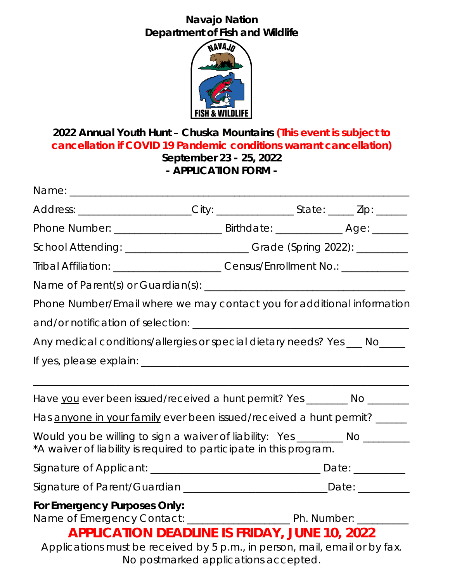# **Navajo Nation Department of Fish and Wildlife**



# **2022 Annual Youth Hunt – Chuska Mountains (This event is subject to cancellation if COVID 19 Pandemic conditions warrant cancellation) September 23 - 25, 2022 - APPLICATION FORM -**

| Address: _____________________City: _________________State: ______Zip: _________                                                                  |                                                                                  |  |  |
|---------------------------------------------------------------------------------------------------------------------------------------------------|----------------------------------------------------------------------------------|--|--|
|                                                                                                                                                   |                                                                                  |  |  |
| School Attending: ___________________________Grade (Spring 2022): _____________                                                                   |                                                                                  |  |  |
|                                                                                                                                                   | Tribal Affiliation: ________________________Census/Enrollment No.: _____________ |  |  |
|                                                                                                                                                   |                                                                                  |  |  |
| Phone Number/Email where we may contact you for additional information                                                                            |                                                                                  |  |  |
|                                                                                                                                                   |                                                                                  |  |  |
| Any medical conditions/allergies or special dietary needs? Yes __ No____                                                                          |                                                                                  |  |  |
| If yes, please explain: $\frac{1}{2}$ is the set of yes, please explain:                                                                          |                                                                                  |  |  |
|                                                                                                                                                   |                                                                                  |  |  |
| Have you ever been issued/received a hunt permit? Yes ________ No _______                                                                         |                                                                                  |  |  |
| Has anyone in your family ever been issued/received a hunt permit? _____                                                                          |                                                                                  |  |  |
| Would you be willing to sign a waiver of liability: Yes ________ No _______<br>*A waiver of liability is required to participate in this program. |                                                                                  |  |  |
|                                                                                                                                                   |                                                                                  |  |  |
| Signature of Parent/Guardian __________________________________Date: ___________                                                                  |                                                                                  |  |  |
| For Emergency Purposes Only:                                                                                                                      |                                                                                  |  |  |
|                                                                                                                                                   |                                                                                  |  |  |
| <b>APPLICATION DEADLINE IS FRIDAY, JUNE 10, 2022</b>                                                                                              |                                                                                  |  |  |
| Applications must be received by 5 p.m., in person, mail, email or by fax.                                                                        | No postmarked applications accepted.                                             |  |  |
|                                                                                                                                                   |                                                                                  |  |  |